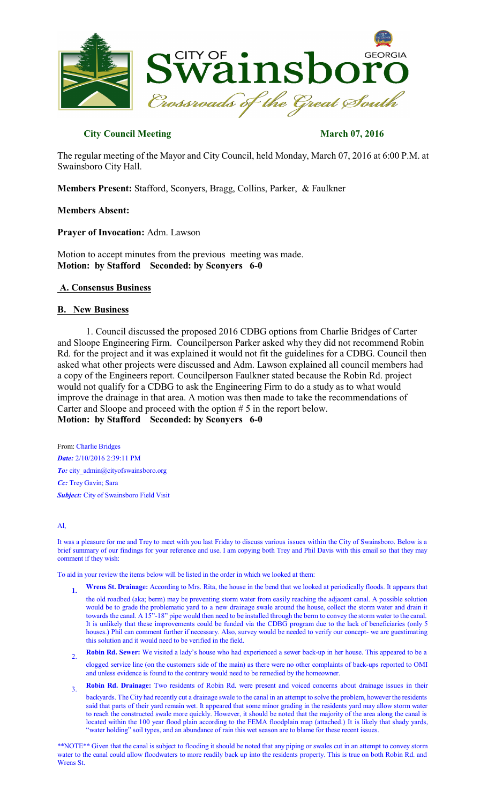

# **City Council Meeting March 07, 2016**

The regular meeting of the Mayor and City Council, held Monday, March 07, 2016 at 6:00 P.M. at Swainsboro City Hall.

**Members Present:** Stafford, Sconyers, Bragg, Collins, Parker, & Faulkner

## **Members Absent:**

**Prayer of Invocation:** Adm. Lawson

Motion to accept minutes from the previous meeting was made. **Motion: by Stafford Seconded: by Sconyers 6-0** 

# **A. Consensus Business**

# **B. New Business**

1. Council discussed the proposed 2016 CDBG options from Charlie Bridges of Carter and Sloope Engineering Firm. Councilperson Parker asked why they did not recommend Robin Rd. for the project and it was explained it would not fit the guidelines for a CDBG. Council then asked what other projects were discussed and Adm. Lawson explained all council members had a copy of the Engineers report. Councilperson Faulkner stated because the Robin Rd. project would not qualify for a CDBG to ask the Engineering Firm to do a study as to what would improve the drainage in that area. A motion was then made to take the recommendations of Carter and Sloope and proceed with the option # 5 in the report below.

**Motion: by Stafford Seconded: by Sconyers 6-0** 

From: Charlie Bridges *Date:* 2/10/2016 2:39:11 PM *To:* city\_admin@cityofswainsboro.org *Cc:* Trey Gavin; Sara **Subject:** City of Swainsboro Field Visit

#### Al,

It was a pleasure for me and Trey to meet with you last Friday to discuss various issues within the City of Swainsboro. Below is a brief summary of our findings for your reference and use. I am copying both Trey and Phil Davis with this email so that they may comment if they wish:

To aid in your review the items below will be listed in the order in which we looked at them:

- **1. Wrens St. Drainage:** According to Mrs. Rita, the house in the bend that we looked at periodically floods. It appears that
	- the old roadbed (aka; berm) may be preventing storm water from easily reaching the adjacent canal. A possible solution would be to grade the problematic yard to a new drainage swale around the house, collect the storm water and drain it towards the canal. A 15"-18" pipe would then need to be installed through the berm to convey the storm water to the canal. It is unlikely that these improvements could be funded via the CDBG program due to the lack of beneficiaries (only 5 houses.) Phil can comment further if necessary. Also, survey would be needed to verify our concept- we are guestimating this solution and it would need to be verified in the field.
- $2^{\circ}$ **Robin Rd. Sewer:** We visited a lady's house who had experienced a sewer back-up in her house. This appeared to be a clogged service line (on the customers side of the main) as there were no other complaints of back-ups reported to OMI and unless evidence is found to the contrary would need to be remedied by the homeowner.
- 3. **Robin Rd. Drainage:** Two residents of Robin Rd. were present and voiced concerns about drainage issues in their

backyards. The City had recently cut a drainage swale to the canal in an attempt to solve the problem, however the residents said that parts of their yard remain wet. It appeared that some minor grading in the residents yard may allow storm water to reach the constructed swale more quickly. However, it should be noted that the majority of the area along the canal is located within the 100 year flood plain according to the FEMA floodplain map (attached.) It is likely that shady yards, "water holding" soil types, and an abundance of rain this wet season are to blame for these recent issues.

\*\*NOTE\*\* Given that the canal is subject to flooding it should be noted that any piping or swales cut in an attempt to convey storm water to the canal could allow floodwaters to more readily back up into the residents property. This is true on both Robin Rd. and Wrens St.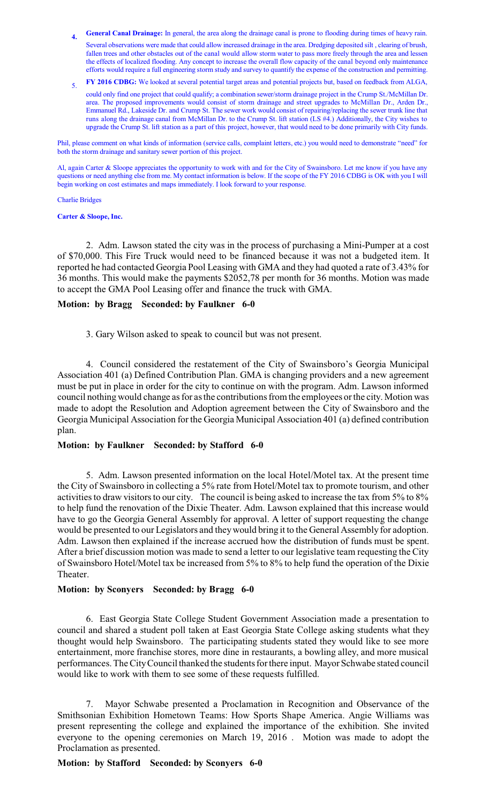- **4. General Canal Drainage:** In general, the area along the drainage canal is prone to flooding during times of heavy rain.
- Several observations were made that could allow increased drainage in the area. Dredging deposited silt , clearing of brush, fallen trees and other obstacles out of the canal would allow storm water to pass more freely through the area and lessen the effects of localized flooding. Any concept to increase the overall flow capacity of the canal beyond only maintenance efforts would require a full engineering storm study and survey to quantify the expense of the construction and permitting.
- 5. **FY 2016 CDBG:** We looked at several potential target areas and potential projects but, based on feedback from ALGA,

could only find one project that could qualify; a combination sewer/storm drainage project in the Crump St./McMillan Dr. area. The proposed improvements would consist of storm drainage and street upgrades to McMillan Dr., Arden Dr., Emmanuel Rd., Lakeside Dr. and Crump St. The sewer work would consist of repairing/replacing the sewer trunk line that runs along the drainage canal from McMillan Dr. to the Crump St. lift station (LS #4.) Additionally, the City wishes to upgrade the Crump St. lift station as a part of this project, however, that would need to be done primarily with City funds.

Phil, please comment on what kinds of information (service calls, complaint letters, etc.) you would need to demonstrate "need" for both the storm drainage and sanitary sewer portion of this project.

Al, again Carter & Sloope appreciates the opportunity to work with and for the City of Swainsboro. Let me know if you have any questions or need anything else from me. My contact information is below. If the scope of the FY 2016 CDBG is OK with you I will begin working on cost estimates and maps immediately. I look forward to your response.

#### Charlie Bridges

#### **Carter & Sloope, Inc.**

2. Adm. Lawson stated the city was in the process of purchasing a Mini-Pumper at a cost of \$70,000. This Fire Truck would need to be financed because it was not a budgeted item. It reported he had contacted Georgia Pool Leasing with GMA and they had quoted a rate of 3.43% for 36 months. This would make the payments \$2052,78 per month for 36 months. Motion was made to accept the GMA Pool Leasing offer and finance the truck with GMA.

# **Motion: by Bragg Seconded: by Faulkner 6-0**

3. Gary Wilson asked to speak to council but was not present.

4. Council considered the restatement of the City of Swainsboro's Georgia Municipal Association 401 (a) Defined Contribution Plan. GMA is changing providers and a new agreement must be put in place in order for the city to continue on with the program. Adm. Lawson informed council nothing would change as for as the contributions from the employees or the city. Motion was made to adopt the Resolution and Adoption agreement between the City of Swainsboro and the Georgia Municipal Association for the Georgia Municipal Association 401 (a) defined contribution plan.

# **Motion: by Faulkner Seconded: by Stafford 6-0**

5. Adm. Lawson presented information on the local Hotel/Motel tax. At the present time the City of Swainsboro in collecting a 5% rate from Hotel/Motel tax to promote tourism, and other activities to draw visitors to our city. The council is being asked to increase the tax from 5% to 8% to help fund the renovation of the Dixie Theater. Adm. Lawson explained that this increase would have to go the Georgia General Assembly for approval. A letter of support requesting the change would be presented to our Legislators and theywould bring it to the General Assembly for adoption. Adm. Lawson then explained if the increase accrued how the distribution of funds must be spent. After a brief discussion motion was made to send a letter to our legislative team requesting the City of Swainsboro Hotel/Motel tax be increased from 5% to 8% to help fund the operation of the Dixie Theater.

# **Motion: by Sconyers Seconded: by Bragg 6-0**

6. East Georgia State College Student Government Association made a presentation to council and shared a student poll taken at East Georgia State College asking students what they thought would help Swainsboro. The participating students stated they would like to see more entertainment, more franchise stores, more dine in restaurants, a bowling alley, and more musical performances. The City Council thanked the students for there input. Mayor Schwabe stated council would like to work with them to see some of these requests fulfilled.

7. Mayor Schwabe presented a Proclamation in Recognition and Observance of the Smithsonian Exhibition Hometown Teams: How Sports Shape America. Angie Williams was present representing the college and explained the importance of the exhibition. She invited everyone to the opening ceremonies on March 19, 2016 . Motion was made to adopt the Proclamation as presented.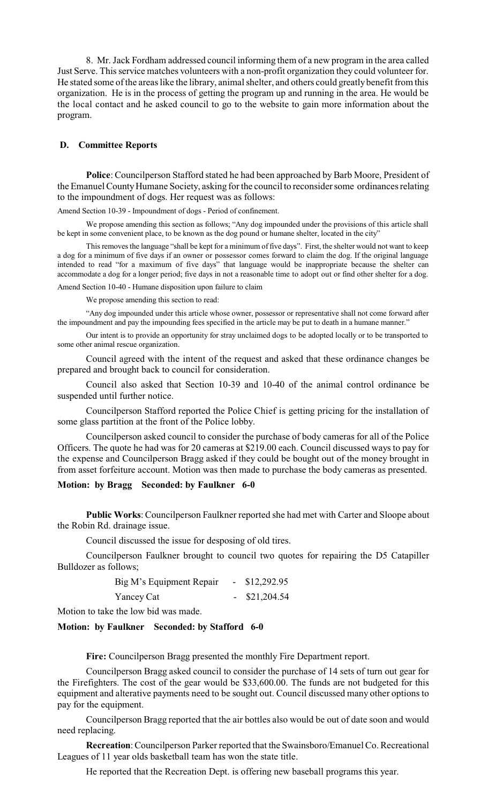8. Mr. Jack Fordham addressed council informing them of a new program in the area called Just Serve. This service matches volunteers with a non-profit organization they could volunteer for. He stated some of the areas like the library, animal shelter, and others could greatly benefit from this organization. He is in the process of getting the program up and running in the area. He would be the local contact and he asked council to go to the website to gain more information about the program.

# **D. Committee Reports**

Police: Councilperson Stafford stated he had been approached by Barb Moore, President of the Emanuel County Humane Society, asking for the council to reconsider some ordinances relating to the impoundment of dogs. Her request was as follows:

Amend Section 10-39 - Impoundment of dogs - Period of confinement.

We propose amending this section as follows; "Any dog impounded under the provisions of this article shall be kept in some convenient place, to be known as the dog pound or humane shelter, located in the city"

This removes the language "shall be kept for a minimum of five days". First, the shelter would not want to keep a dog for a minimum of five days if an owner or possessor comes forward to claim the dog. If the original language intended to read "for a maximum of five days" that language would be inappropriate because the shelter can accommodate a dog for a longer period; five days in not a reasonable time to adopt out or find other shelter for a dog.

Amend Section 10-40 - Humane disposition upon failure to claim

We propose amending this section to read:

"Any dog impounded under this article whose owner, possessor or representative shall not come forward after the impoundment and pay the impounding fees specified in the article may be put to death in a humane manner."

Our intent is to provide an opportunity for stray unclaimed dogs to be adopted locally or to be transported to some other animal rescue organization.

Council agreed with the intent of the request and asked that these ordinance changes be prepared and brought back to council for consideration.

Council also asked that Section 10-39 and 10-40 of the animal control ordinance be suspended until further notice.

Councilperson Stafford reported the Police Chief is getting pricing for the installation of some glass partition at the front of the Police lobby.

Councilperson asked council to consider the purchase of body cameras for all of the Police Officers. The quote he had was for 20 cameras at \$219.00 each. Council discussed ways to pay for the expense and Councilperson Bragg asked if they could be bought out of the money brought in from asset forfeiture account. Motion was then made to purchase the body cameras as presented.

#### **Motion: by Bragg Seconded: by Faulkner 6-0**

**Public Works**: Councilperson Faulkner reported she had met with Carter and Sloope about the Robin Rd. drainage issue.

Council discussed the issue for desposing of old tires.

Councilperson Faulkner brought to council two quotes for repairing the D5 Catapiller Bulldozer as follows;

| Big M's Equipment Repair | \$12,292.95 |
|--------------------------|-------------|
| Yancey Cat               | \$21,204.54 |

Motion to take the low bid was made.

## **Motion: by Faulkner Seconded: by Stafford 6-0**

**Fire:** Councilperson Bragg presented the monthly Fire Department report.

Councilperson Bragg asked council to consider the purchase of 14 sets of turn out gear for the Firefighters. The cost of the gear would be \$33,600.00. The funds are not budgeted for this equipment and alterative payments need to be sought out. Council discussed many other options to pay for the equipment.

Councilperson Bragg reported that the air bottles also would be out of date soon and would need replacing.

**Recreation**:Councilperson Parker reported that the Swainsboro/Emanuel Co. Recreational Leagues of 11 year olds basketball team has won the state title.

He reported that the Recreation Dept. is offering new baseball programs this year.